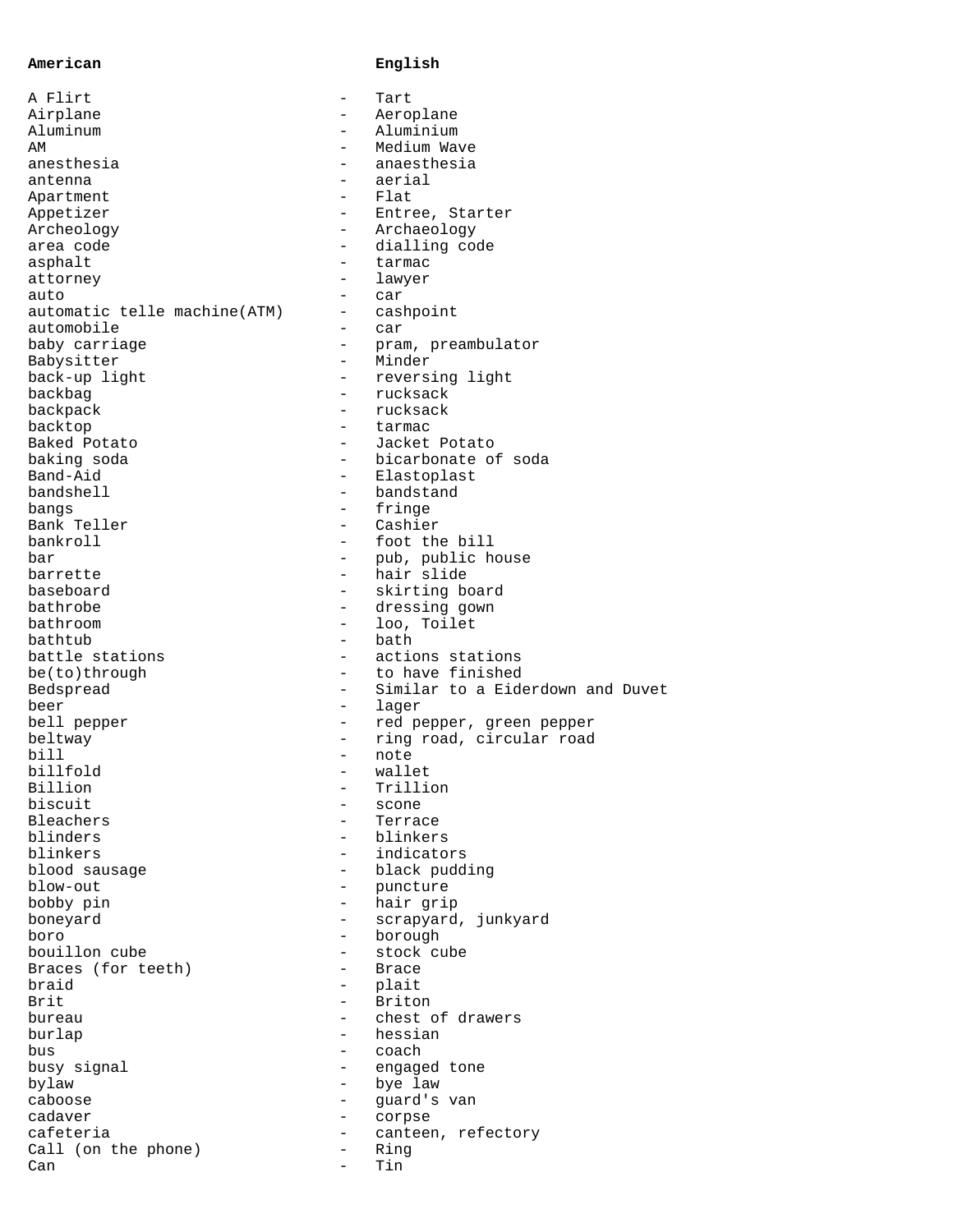## **American English**

| A Flirt                       | $\qquad \qquad -$        | Tart                        |
|-------------------------------|--------------------------|-----------------------------|
| Airplane                      |                          | Aeroplane                   |
| Aluminum                      |                          | Aluminium                   |
| AΜ                            |                          | Medium Wave                 |
| anesthesia                    | -                        | anaesthesia                 |
| antenna                       |                          | aerial                      |
| Apartment                     | $-$                      | Flat                        |
| Appetizer                     |                          | Entree, Starter             |
| Archeology                    | $\qquad \qquad -$        | Archaeology                 |
| area code                     | $-$                      | dialling code               |
| asphalt                       | $\overline{\phantom{0}}$ | tarmac                      |
| attorney                      |                          | lawyer                      |
| auto                          | $\qquad \qquad -$        | car                         |
| automatic telle machine (ATM) | -                        | cashpoint                   |
| automobile                    | $\overline{\phantom{0}}$ | car                         |
| baby carriage                 |                          | pram, preambulator          |
| Babysitter                    | $\overline{\phantom{0}}$ | Minder                      |
|                               | $-$                      |                             |
| back-up light                 |                          | reversing light<br>rucksack |
| backbag                       |                          | rucksack                    |
| backpack                      |                          |                             |
| backtop                       |                          | tarmac                      |
| Baked Potato                  | $-$                      | Jacket Potato               |
| baking soda                   |                          | bicarbonate of soda         |
| Band-Aid                      | $-$                      | Elastoplast                 |
| bandshell                     |                          | bandstand                   |
| bangs                         | $\overline{\phantom{0}}$ | fringe                      |
| Bank Teller                   |                          | Cashier                     |
| bankroll                      | $-$                      | foot the bill               |
| bar                           |                          | pub, public house           |
| barrette                      | $-$                      | hair slide                  |
| baseboard                     |                          | skirting board              |
| bathrobe                      | $\overline{\phantom{0}}$ | dressing gown               |
| bathroom                      |                          | loo, Toilet                 |
| bathtub                       | $\overline{\phantom{0}}$ | bath                        |
| battle stations               | -                        | actions stations            |
| be(to)through                 | $-$                      | to have finished            |
| Bedspread                     |                          | Similar to a Eiderdown a    |
| beer                          | $\qquad \qquad -$        | lager                       |
| bell pepper                   | $-$                      | red pepper, green pepper    |
| beltway                       | $-$                      | ring road, circular road    |
| bill                          |                          | note                        |
| billfold                      | $-$                      | wallet                      |
| Billion                       |                          | Trillion                    |
| biscuit                       |                          | scone                       |
| Bleachers                     |                          | Terrace                     |
| blinders                      |                          | blinkers                    |
| blinkers                      | $\overline{\phantom{0}}$ | indicators                  |
|                               |                          |                             |
| blood sausage                 |                          | black pudding               |
| blow-out                      |                          | puncture                    |
| bobby pin                     |                          | hair grip                   |
| boneyard                      | $\overline{\phantom{0}}$ | scrapyard, junkyard         |
| boro                          |                          | borough                     |
| bouillon cube                 |                          | stock cube                  |
| Braces (for teeth)            |                          | Brace                       |
| braid                         | $\qquad \qquad -$        | plait                       |
| Brit                          |                          | Briton                      |
| bureau                        |                          | chest of drawers            |
| burlap                        |                          | hessian                     |
| bus                           | -                        | coach                       |
| busy signal                   |                          | engaged tone                |
| bylaw                         | $\overline{\phantom{0}}$ | bye law                     |
| caboose                       |                          | guard's van                 |
| cadaver                       | $\overline{\phantom{0}}$ | corpse                      |
| cafeteria                     | $-$                      | canteen, refectory          |
| Call (on the phone)           |                          | Ring                        |
| Can                           |                          | Tin                         |
|                               |                          |                             |

and Duvet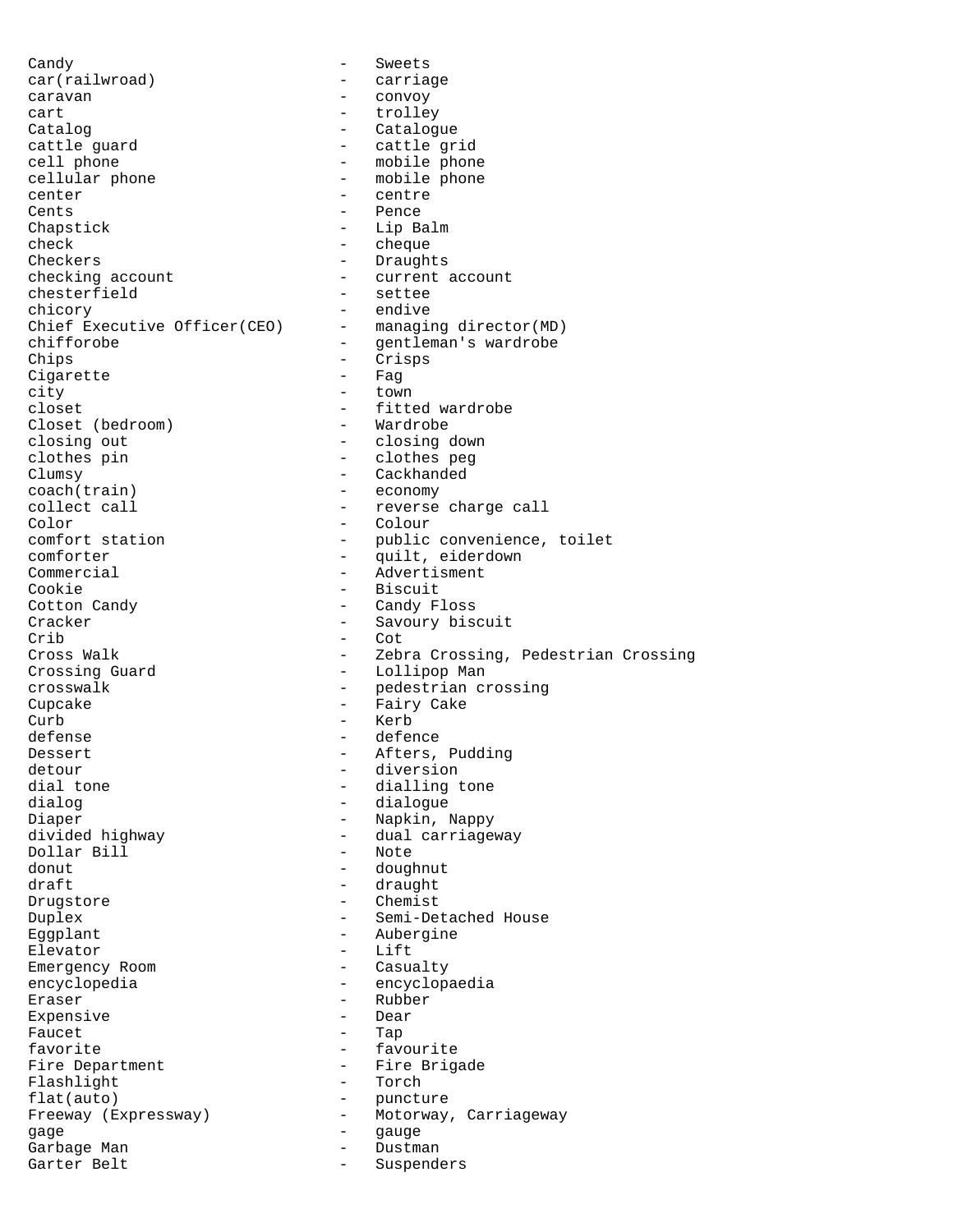Candy **-** Sweets car(railwroad) - carriage caravan - convoy cart - trolley Catalog - Catalogue<br>
cattle guard - Catalogue<br>
- Cattle gr cattle guard  $\begin{array}{ccc} \text{cattle grid} \\ \text{cell phone} \end{array}$  - cattle grid cell phone<br>
cellular phone<br>
- mobile phone<br>
- mobile phone - mobile phone center  $\overline{\phantom{a}}$  centre Cents - Pence Chapstick - Lip Balm check - cheque Checkers - Draughts checking account  $\begin{array}{ccc} - & - & \text{current account} \\ - & & \text{settee} \end{array}$ chesterfield - setteen - setteen - setteen - setteen - setteen - setteen - setteen - setteen - setteen - setteen - setteen - setteen - setteen - setteen - setteen - setteen - setteen - setteen - setteen - setteen - setteen chicory - endive<br>Chief Executive Officer(CEO) - managing director(MD) Chief Executive Officer(CEO) -<br>chifforobe chifforobe  $\qquad \qquad -$  gentleman's wardrobe Chips - Crisps<br>Cigarette - Fag Cigarette city - town - fitted wardrobe<br>- Wardrobe Closet (bedroom) closing out - closing down - clothes peg Clumsy - Cackhanded coach(train) - economy collect call  $\qquad \qquad \qquad -$  reverse charge call Color - Colour - public convenience, toilet<br>- quilt, eiderdown comforter - quilt, eiderdown<br>
Commercial - Advertisment Commercial - Advertisment<br>
Cookie - Biscuit Cookie - Biscuit<br>Cotton Candy - Candy F. - Candy Floss Cracker - Savoury biscuit<br>
Crib - Cot Crib - Cot<br>Cross Walk - Zebi - Zebra Crossing, Pedestrian Crossing Crossing Guard - Lollipop Man crosswalk - pedestrian crossing Cupcake - Fairy Cake Curb - Kerb<br>defense - defer defense - defence Dessert **-** Afters, Pudding detour - diversion dial tone  $\begin{array}{cccc} - &$  dialling tone dialogue dialog - dialogue Diaper - Napkin, Nappy - dual carriageway<br>- Note Dollar Bill donut - doughnut draft - draught Drugstore - Chemist Duplex - Semi-Detached House Eggplant - Aubergine Elevator - Lift<br>Emergency Room - - Casualty Emergency Room encyclopedia - encyclopaedia Eraser - Rubber<br>Expensive - Dear - Dear Expensive Faucet Tap favorite  $\qquad \qquad -$  favourite Fire Department<br>
Flashlight<br>
Flashlight<br>
- Torch Flashlight flat(auto) - puncture Freeway (Expressway) - Motorway, Carriageway<br>qaqe - qauqe gage - gauge - gauge - gauge - gauge - gauge - gauge - gauge - gauge - gauge - gauge - gauge - gauge - gauge -<br>Garbage - Man - gauge - gauge - gauge - gauge - gauge - gauge - gauge - gauge - gauge - gauge - gauge - gauge Garbage Man - Dustman Suspenders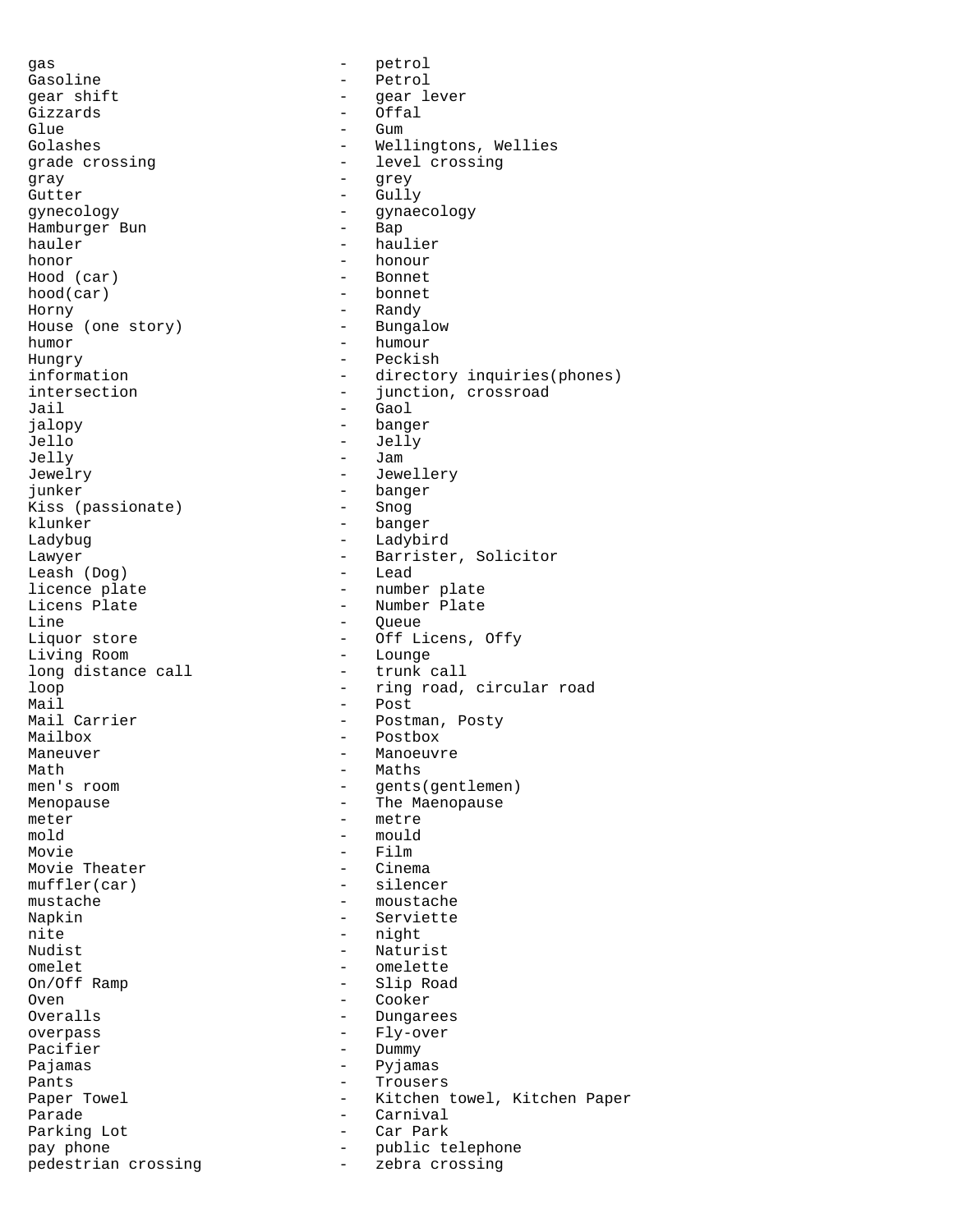qas - petrol Gasoline - Petrol gear shift  $-$  gear lever Gizzards - Offal Glue - Gum<br>Golashes - Wel grade crossing  $\qquad \qquad -$  level crossing gray - grey<br>Gutter - Gull<sup>.</sup> gynecology - gynaecology Hamburger Bun hauler - haulier honor - honour Hood (car) - Bonnet hood(car) - bonnet Horny - Randy<br>House (one story) - Bungalow House (one story) humor - humour Hungry - Peckish Jail - Gaol<br>ialopy - bang Jello - Jelly Jelly - Jam Jewelry - Jewellery junker - banger<br>Kiss (passionate) - Snog Kiss (passionate) klunker - banger Ladybug - Ladybird Leash (Dog) licence plate  $\overline{a}$  =  $\overline{b}$  =  $\overline{b}$  =  $\overline{b}$  =  $\overline{b}$  =  $\overline{b}$  =  $\overline{b}$  =  $\overline{b}$  =  $\overline{b}$  =  $\overline{b}$  =  $\overline{b}$  =  $\overline{b}$  =  $\overline{b}$  =  $\overline{b}$  =  $\overline{b}$  =  $\overline{b}$  =  $\overline{b}$  =  $\overline{b}$  =  $\overline{b}$  = Licens Plate  $\overline{L}$  - Number Plate  $\overline{L}$  - Number Plate  $\overline{L}$ Line - Queue<br>
Liquor store - Off L: Living Room<br>
long distance call<br>
- trunk call<br>
- trunk call long distance call Mail - Post Mailbox - Postbox Maneuver **Manuver** - Manoeuvre Math - Maths - Maths - Maths - Maths - Maths - Maths - Maths - Maths - Maths - Maths - Maths - Maths - Maths - Maths - Maths - Maths - Maths - Maths - Maths - Maths - Maths - Maths - Maths - Maths - Maths - Maths - Maths -Menopause **Menopause** - The Maenopause meter - metre  $\text{mod} \, \text{d}$   $\qquad \qquad \text{mod} \, \text{d}$ Movie - Film<br>Movie Theater - - Film Movie Theater muffler(car) - silencer mustache  $-$  moustache Napkin - Serviette nite - night<br>
Nudist - Natur Nudist<br>
omelet - Naturist<br>
- omelette omelet<br>
On/Off Ramp<br>
- Slip Road Oven - Cooker - Cooker - Cooker - Cooker - Cooker - Cooker - Cooker - Cooker - Cooker - Cooker - Cooker - Cooker - Cooker - Cooker - Cooker - Cooker - Cooker - Cooker - Cooker - Cooker - Cooker - Cooker - Cooker - Cooker overpass - Fly-over Pacifier - Dummy<br>Pajamas - Pyjama Pants - Trousers Parade - Carnival Parking Lot pedestrian crossing  $-$  zebra crossing

Golashes - Wellingtons, Wellies - Gully information - directory inquiries(phones) intersection - junction, crossroad<br>Jail - Gaol - banger Lawyer - Barrister, Solicitor<br>
Leash (Doq) - Lead - Off Licens, Offy<br>- Lounge loop  $-$  ring road, circular road - Postman, Posty - gents(gentlemen) - Slip Road - Dungarees - Pyjamas Paper Towel - Kitchen towel, Kitchen Paper pay phone  $\qquad \qquad -$  public telephone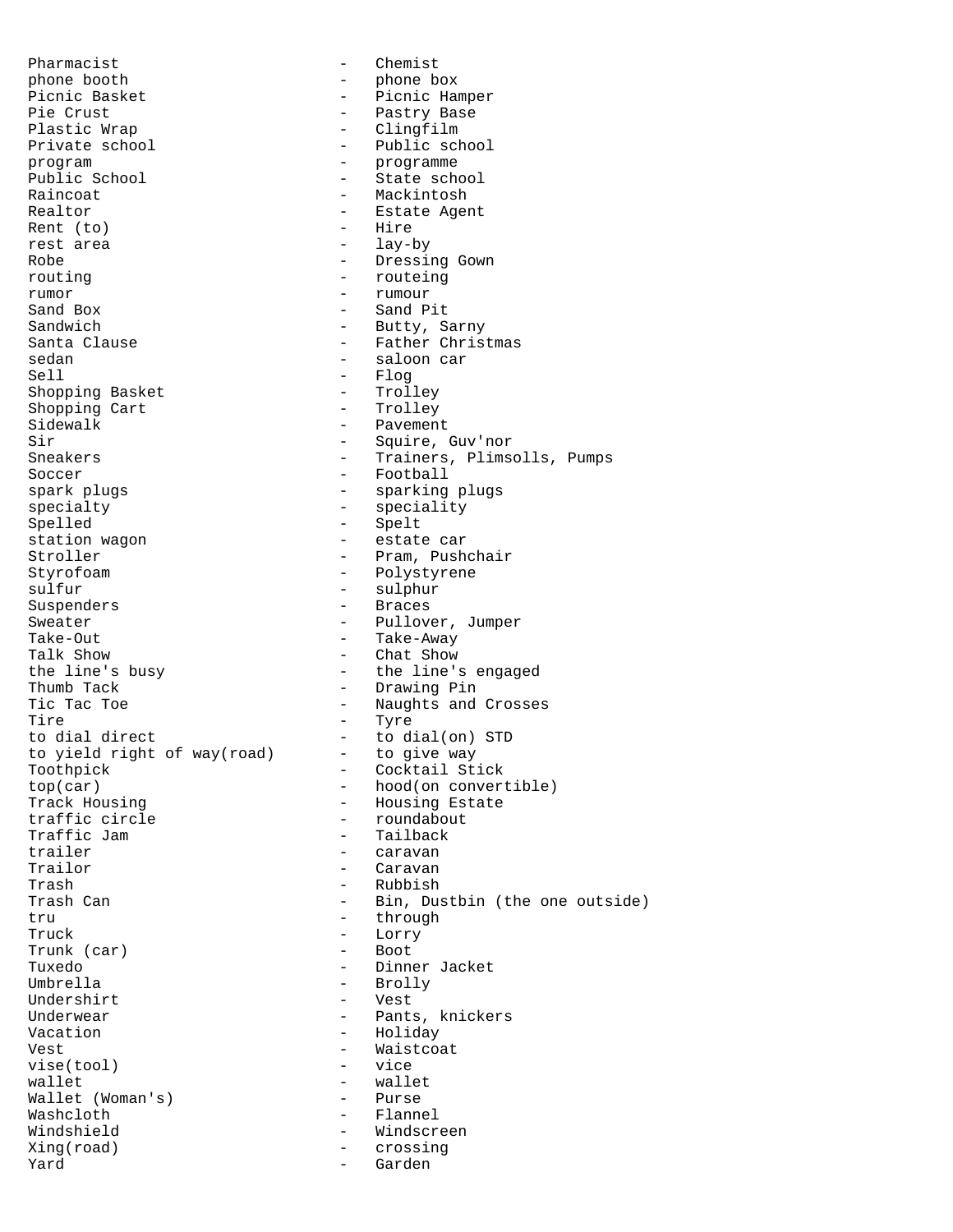Pharmacist - Chemist phone booth - phone box Picnic Basket - Picnic Hamper<br>Pie Crust - Pastry Base Pie Crust<br>
Plastic Wrap<br>
Plastic Wrap<br>
Plastic Wrap<br>
Plastic Wrap<br>
Plastic Wrap<br>
Plastic Wrap<br>
Plastic Wrap<br>
Plastic Wrap<br>
Plastic Wrap<br>
Plastic Wrap<br>
Plastic Wrap<br>
Plastic Mrap<br>
Plastic Mrap<br>
Plastic Mrap<br>
Plastic Mrap<br>
P Plastic Wrap - Clingfilm<br>Private school - Public scl Private school - Public school<br>program - Public school<br>programme program - programme<br>
Public School - State sch Public School  $\begin{array}{ccc} 2 & - & - & - \\ 1 & - & - & - \\ 2 & - & - & - \\ 3 & - & - & - \end{array}$ - Mackintosh Realtor - Estate Agent Rent (to)  $-$  Hire<br>rest area rest area Robe - Dressing Gown routing  $-$  routeing rumor - rumour - Sand Pit Sandwich - Butty, Sarny<br>
Santa Clause - Tather Christ - Father Christmas sedan - saloon car - Flog<br>- Trolley Shopping Basket - Trolley<br>Shopping Cart - Trolley Shopping Cart<br>Sidewalk Sidewalk - Pavement<br>Sir - Souire Sir - Squire, Guv'nor<br>Sneakers - - - - - - - - - - - - - Trainers, Plims - Trainers, Plimsolls, Pumps Soccer - Football spark plugs  $\qquad \qquad$  - sparking plugs specialty - speciality Spelled - Spelt - Spelt<br>station wagon - estate - estate car Stroller - Pram, Pushchair<br>Styrofoam - Polystyrene - Polystyrene sulfur - sulphur - Braces Sweater - Pullover, Jumper Take-Out - Take-Away Talk Show  $\qquad$  - Chat Show  $\qquad$  - Chat Show  $\qquad$  - the line's - the line's engaged Thumb Tack  $\overline{\phantom{a}}$  - Drawing Pin Tic Tac Toe  $\overline{ }$  - Naughts and Crosses<br>Tire - Tyre Tire - Tyre<br>to dial direct - to di - to dial(on) STD<br>- to give way to yield right of way(road) Toothpick - Cocktail Stick top(car) - hood(on convertible)<br>Track Housing - Housing Estate Track Housing  $-$  Housing Estate<br>
traffic circle  $-$  roundabout traffic circle  $\begin{array}{ccc} \text{traffic} & \text{sim} \\ \text{traffic Jam} & & \text{sim} \end{array}$ Traffic Jam - Trailback<br>trailer - Caravan trailer - caravan<br>Trailor - caravan<br>- Caravan - Caravan Trash - Rubbish Trash Can - Bin, Dustbin (the one outside) tru - through - through Truck - Lorry - Lorry<br>Trunk (car) - Boot Trunk (car)<br>Tuxedo Tuxedo - Dinner Jacket - Brolly<br>- Vest Undershirt<br>Underwear - Pants, knickers Vacation - Holiday Vest - Waistcoat<br>
vise(tool) - vice<br>
- vice  $vise(tool)$ wallet - wallet Wallet (Woman's) Washcloth - Flannel Windshield **-** Windscreen Xing(road) - crossing<br>Yard - crossing Yard - Garden